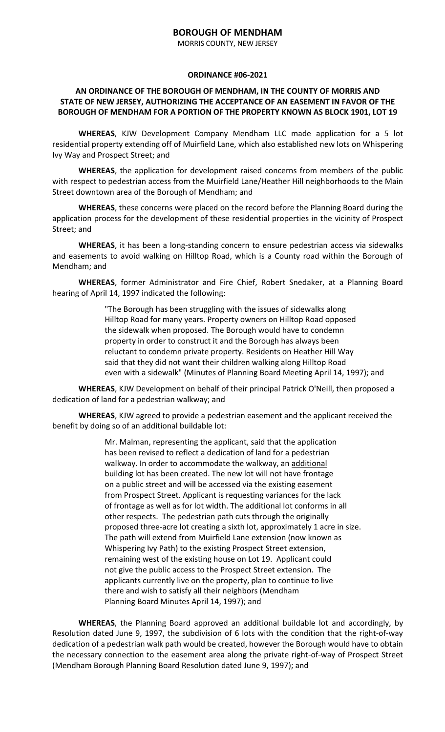## **BOROUGH OF MENDHAM**

MORRIS COUNTY, NEW JERSEY

## **ORDINANCE #06-2021**

## **AN ORDINANCE OF THE BOROUGH OF MENDHAM, IN THE COUNTY OF MORRIS AND STATE OF NEW JERSEY, AUTHORIZING THE ACCEPTANCE OF AN EASEMENT IN FAVOR OF THE BOROUGH OF MENDHAM FOR A PORTION OF THE PROPERTY KNOWN AS BLOCK 1901, LOT 19**

**WHEREAS**, KJW Development Company Mendham LLC made application for a 5 lot residential property extending off of Muirfield Lane, which also established new lots on Whispering Ivy Way and Prospect Street; and

**WHEREAS**, the application for development raised concerns from members of the public with respect to pedestrian access from the Muirfield Lane/Heather Hill neighborhoods to the Main Street downtown area of the Borough of Mendham; and

**WHEREAS**, these concerns were placed on the record before the Planning Board during the application process for the development of these residential properties in the vicinity of Prospect Street; and

**WHEREAS**, it has been a long-standing concern to ensure pedestrian access via sidewalks and easements to avoid walking on Hilltop Road, which is a County road within the Borough of Mendham; and

**WHEREAS**, former Administrator and Fire Chief, Robert Snedaker, at a Planning Board hearing of April 14, 1997 indicated the following:

> "The Borough has been struggling with the issues of sidewalks along Hilltop Road for many years. Property owners on Hilltop Road opposed the sidewalk when proposed. The Borough would have to condemn property in order to construct it and the Borough has always been reluctant to condemn private property. Residents on Heather Hill Way said that they did not want their children walking along Hilltop Road even with a sidewalk" (Minutes of Planning Board Meeting April 14, 1997); and

**WHEREAS**, KJW Development on behalf of their principal Patrick O'Neill, then proposed a dedication of land for a pedestrian walkway; and

**WHEREAS**, KJW agreed to provide a pedestrian easement and the applicant received the benefit by doing so of an additional buildable lot:

> Mr. Malman, representing the applicant, said that the application has been revised to reflect a dedication of land for a pedestrian walkway. In order to accommodate the walkway, an additional building lot has been created. The new lot will not have frontage on a public street and will be accessed via the existing easement from Prospect Street. Applicant is requesting variances for the lack of frontage as well as for lot width. The additional lot conforms in all other respects. The pedestrian path cuts through the originally proposed three-acre lot creating a sixth lot, approximately 1 acre in size. The path will extend from Muirfield Lane extension (now known as Whispering Ivy Path) to the existing Prospect Street extension, remaining west of the existing house on Lot 19. Applicant could not give the public access to the Prospect Street extension. The applicants currently live on the property, plan to continue to live there and wish to satisfy all their neighbors (Mendham Planning Board Minutes April 14, 1997); and

**WHEREAS**, the Planning Board approved an additional buildable lot and accordingly, by Resolution dated June 9, 1997, the subdivision of 6 lots with the condition that the right-of-way dedication of a pedestrian walk path would be created, however the Borough would have to obtain the necessary connection to the easement area along the private right-of-way of Prospect Street (Mendham Borough Planning Board Resolution dated June 9, 1997); and